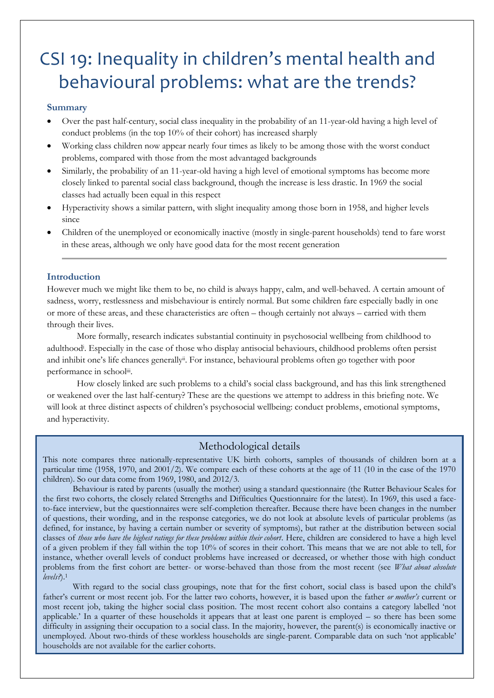# CSI 19: Inequality in children's mental health and behavioural problems: what are the trends?

## **Summary**

- Over the past half-century, social class inequality in the probability of an 11-year-old having a high level of conduct problems (in the top 10% of their cohort) has increased sharply
- Working class children now appear nearly four times as likely to be among those with the worst conduct problems, compared with those from the most advantaged backgrounds
- Similarly, the probability of an 11-year-old having a high level of emotional symptoms has become more closely linked to parental social class background, though the increase is less drastic. In 1969 the social classes had actually been equal in this respect
- Hyperactivity shows a similar pattern, with slight inequality among those born in 1958, and higher levels since
- Children of the unemployed or economically inactive (mostly in single-parent households) tend to fare worst in these areas, although we only have good data for the most recent generation

## **Introduction**

However much we might like them to be, no child is always happy, calm, and well-behaved. A certain amount of sadness, worry, restlessness and misbehaviour is entirely normal. But some children fare especially badly in one or more of these areas, and these characteristics are often – though certainly not always – carried with them through their lives.

More formally, research indicates substantial continuity in psychosocial wellbeing from childhood to adulthood<sup>i</sup> . Especially in the case of those who display antisocial behaviours, childhood problems often persist and inhibit one's life chances generally<sup>ii</sup>. For instance, behavioural problems often go together with poor performance in schooliii.

How closely linked are such problems to a child's social class background, and has this link strengthened or weakened over the last half-century? These are the questions we attempt to address in this briefing note. We will look at three distinct aspects of children's psychosocial wellbeing: conduct problems, emotional symptoms, and hyperactivity.

# Methodological details

This note compares three nationally-representative UK birth cohorts, samples of thousands of children born at a particular time (1958, 1970, and 2001/2). We compare each of these cohorts at the age of 11 (10 in the case of the 1970 children). So our data come from 1969, 1980, and 2012/3.

Behaviour is rated by parents (usually the mother) using a standard questionnaire (the Rutter Behaviour Scales for the first two cohorts, the closely related Strengths and Difficulties Questionnaire for the latest). In 1969, this used a faceto-face interview, but the questionnaires were self-completion thereafter. Because there have been changes in the number of questions, their wording, and in the response categories, we do not look at absolute levels of particular problems (as defined, for instance, by having a certain number or severity of symptoms), but rather at the distribution between social classes of *those who have the highest ratings for these problems within their cohort*. Here, children are considered to have a high level of a given problem if they fall within the top 10% of scores in their cohort. This means that we are not able to tell, for instance, whether overall levels of conduct problems have increased or decreased, or whether those with high conduct problems from the first cohort are better- or worse-behaved than those from the most recent (see *What about absolute levels?*). 1

With regard to the social class groupings, note that for the first cohort, social class is based upon the child's father's current or most recent job. For the latter two cohorts, however, it is based upon the father *or mother's* current or most recent job, taking the higher social class position. The most recent cohort also contains a category labelled 'not applicable.' In a quarter of these households it appears that at least one parent is employed – so there has been some difficulty in assigning their occupation to a social class. In the majority, however, the parent(s) is economically inactive or unemployed. About two-thirds of these workless households are single-parent. Comparable data on such 'not applicable' households are not available for the earlier cohorts.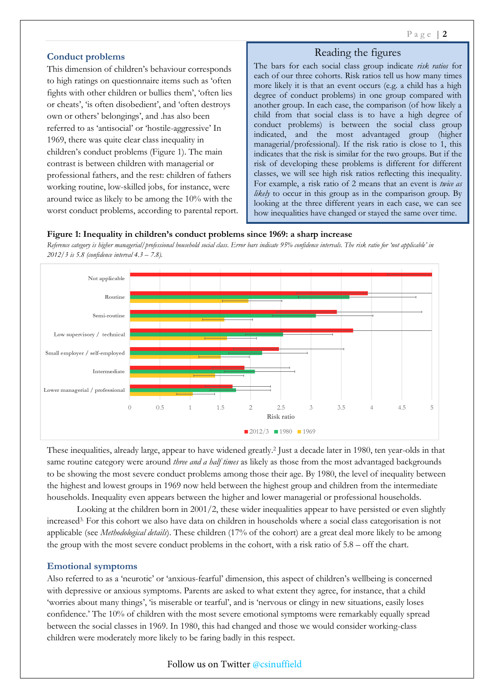# **Conduct problems**

This dimension of children's behaviour corresponds to high ratings on questionnaire items such as 'often fights with other children or bullies them', 'often lies or cheats', 'is often disobedient', and 'often destroys own or others' belongings', and .has also been referred to as 'antisocial' or 'hostile-aggressive' In 1969, there was quite clear class inequality in children's conduct problems (Figure 1). The main contrast is between children with managerial or professional fathers, and the rest: children of fathers working routine, low-skilled jobs, for instance, were around twice as likely to be among the 10% with the worst conduct problems, according to parental report.

# Reading the figures

The bars for each social class group indicate *risk ratios* for each of our three cohorts. Risk ratios tell us how many times more likely it is that an event occurs (e.g. a child has a high degree of conduct problems) in one group compared with another group. In each case, the comparison (of how likely a child from that social class is to have a high degree of conduct problems) is between the social class group indicated, and the most advantaged group (higher managerial/professional). If the risk ratio is close to 1, this indicates that the risk is similar for the two groups. But if the risk of developing these problems is different for different classes, we will see high risk ratios reflecting this inequality. For example, a risk ratio of 2 means that an event is *twice as likely* to occur in this group as in the comparison group. By looking at the three different years in each case, we can see how inequalities have changed or stayed the same over time.

#### **Figure 1: Inequality in children's conduct problems since 1969: a sharp increase**

*Reference category is higher managerial/professional household social class. Error bars indicate 95% confidence intervals. The risk ratio for 'not applicable' in 2012/3 is 5.8 (confidence interval 4.3 – 7.8).* 



These inequalities, already large, appear to have widened greatly.<sup>2</sup> Just a decade later in 1980, ten year-olds in that same routine category were around *three and a half times* as likely as those from the most advantaged backgrounds to be showing the most severe conduct problems among those their age. By 1980, the level of inequality between the highest and lowest groups in 1969 now held between the highest group and children from the intermediate households. Inequality even appears between the higher and lower managerial or professional households.

Looking at the children born in 2001/2, these wider inequalities appear to have persisted or even slightly increased3. For this cohort we also have data on children in households where a social class categorisation is not applicable (see *Methodological details*). These children (17% of the cohort) are a great deal more likely to be among the group with the most severe conduct problems in the cohort, with a risk ratio of 5.8 – off the chart.

## **Emotional symptoms**

Also referred to as a 'neurotic' or 'anxious-fearful' dimension, this aspect of children's wellbeing is concerned with depressive or anxious symptoms. Parents are asked to what extent they agree, for instance, that a child 'worries about many things', 'is miserable or tearful', and is 'nervous or clingy in new situations, easily loses confidence.' The 10% of children with the most severe emotional symptoms were remarkably equally spread between the social classes in 1969. In 1980, this had changed and those we would consider working-class children were moderately more likely to be faring badly in this respect.

## Follow us on Twitter @csinuffield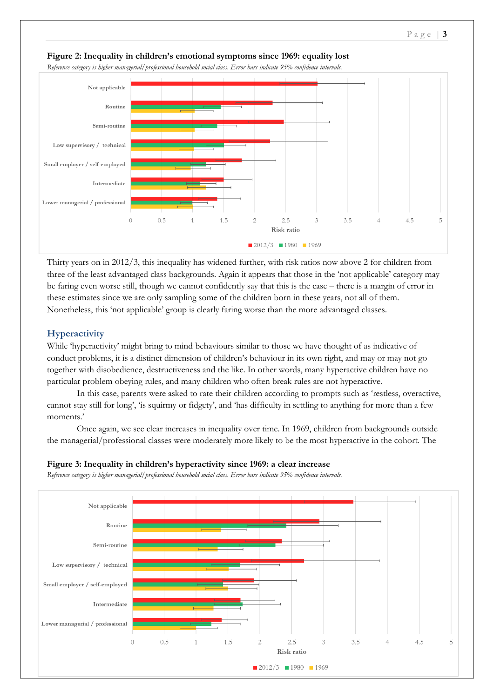

**Figure 2: Inequality in children's emotional symptoms since 1969: equality lost** 

*Reference category is higher managerial/professional household social class. Error bars indicate 95% confidence intervals.* 

Thirty years on in 2012/3, this inequality has widened further, with risk ratios now above 2 for children from three of the least advantaged class backgrounds. Again it appears that those in the 'not applicable' category may be faring even worse still, though we cannot confidently say that this is the case – there is a margin of error in these estimates since we are only sampling some of the children born in these years, not all of them. Nonetheless, this 'not applicable' group is clearly faring worse than the more advantaged classes.

# **Hyperactivity**

While 'hyperactivity' might bring to mind behaviours similar to those we have thought of as indicative of conduct problems, it is a distinct dimension of children's behaviour in its own right, and may or may not go together with disobedience, destructiveness and the like. In other words, many hyperactive children have no particular problem obeying rules, and many children who often break rules are not hyperactive.

In this case, parents were asked to rate their children according to prompts such as 'restless, overactive, cannot stay still for long', 'is squirmy or fidgety', and 'has difficulty in settling to anything for more than a few moments.'

Once again, we see clear increases in inequality over time. In 1969, children from backgrounds outside the managerial/professional classes were moderately more likely to be the most hyperactive in the cohort. The



*Reference category is higher managerial/professional household social class. Error bars indicate 95% confidence intervals.*